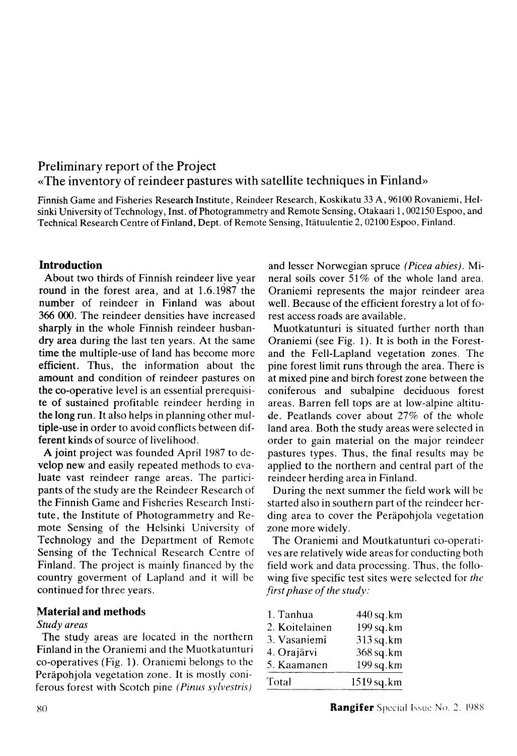# **Preliminary report of the Project «The inventory of reindeer pastures with satellite techniques in Finland»**

Finnish Game and Fisheries Research Institute, Reindeer Research, Koskikatu 33 A , 96100 Rovaniemi, Helsinki University of Technology, Inst, of Photogrammetry and Remote Sensing, Otakaari 1,002150 Espoo, and Technical Research Centre of Finland, Dept. of Remote Sensing, Itatuulentie 2, 02100 Espoo, Finland.

### **Introduction**

About two thirds of Finnish reindeer live year round in the forest area, and at 1.6.1987 the number of reindeer in Finland was about 366 000. The reindeer densities have increased sharply in the whole Finnish reindeer husbandry area during the last ten years. At the same time the multiple-use of land has become more efficient. Thus, the information about the amount and condition of reindeer pastures on the co-operative level is an essential prerequisite of sustained profitable reindeer herding in the long run. It also helps in planning other multiple-use in order to avoid conflicts between different kinds of source of livelihood.

A joint project was founded April 1987 to develop new and easily repeated methods to evaluate vast reindeer range areas. The participants of the study are the Reindeer Research of the Finnish Game and Fisheries Research Institute, the Institute of Photogrammetry and Remote Sensing of the Helsinki University of Technology and the Department of Remote Sensing of the Technical Research Centre of Finland. The project is mainly financed by the country goverment of Lapland and it will be continued for three years.

### **Material and methods**

### *Study areas*

The study areas are located in the northern Finland in the Oraniemi and the Muotkatunturi co-operatives (Fig. 1). Oraniemi belongs to the Perâpohjola vegetation zone. It is mostly coniferous forest with Scotch pine (Pinus sylvestris)

and lesser Norwegian spruce *(Picea abies).* Mi neral soils cover 51% of the whole land area. Oraniemi represents the major reindeer area well. Because of the efficient forestry a lot of forest access roads are available.

Muotkatunturi is situated further north than Oraniemi (see Fig. 1). It is both in the Forestand the Fell-Lapland vegetation zones. The pine forest limit runs through the area. There is at mixed pine and birch forest zone between the coniferous and subalpine deciduous forest areas. Barren fell tops are at low-alpine altitude. Peatlands cover about 27% of the whole land area. Both the study areas were selected in order to gain material on the major reindeer pastures types. Thus, the final results may be applied to the northern and central part of the reindeer herding area in Finland.

During the next summer the field work will be started also in southern part of the reindeer herding area to cover the Perapohjola vegetation zone more widely.

The Oraniemi and Moutkatunturi co-operatives are relatively wide areas for conducting both field work and data processing. Thus, the following five specific test sites were selected for *the first phase of the study:* 

| 1. Tanhua      | 440 sq.km  |
|----------------|------------|
| 2. Koitelainen | 199 sq.km  |
| 3. Vasaniemi   | 313 sq.km  |
| 4. Orajärvi    | 368 sq.km  |
| 5. Kaamanen    | 199 sq.km  |
| Total          | 1519 sq.km |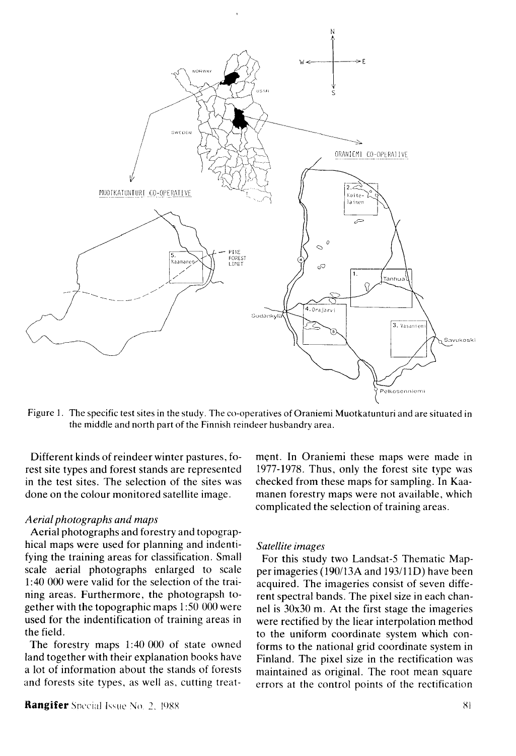

Figure 1. The specific test sites in the study. The co-operatives of Oraniemi Muotkatunturi and are situated in the middle and north part of the Finnish reindeer husbandry area.

Different kinds of reindeer winter pastures, forest site types and forest stands are represented in the test sites. The selection of the sites was done on the colour monitored satellite image.

#### *Aerial photographs and maps*

Aerial photographs and forestry and topographical maps were used for planning and indentifying the training areas for classification. Small scale aerial photographs enlarged to scale 1:40 000 were valid for the selection of the training areas. Furthermore, the photograpsh together with the topographic maps 1:50 000 were used for the indentification of training areas in the field.

The forestry maps 1:40 000 of state owned land together with their explanation books have a lot of information about the stands of forests and forests site types, as well as, cutting treat-

**Rangifer** Special Issue No. 2, 1988 81 **81 <b>81 81 81 81 81 81** 

ment. In Oraniemi these maps were made in 1977-1978. Thus, only the forest site type was checked from these maps for sampling. In Kaamanen forestry maps were not available, which complicated the selection of training areas.

#### *Satellite images*

For this study two Landsat-5 Thematic Mapper imageries (190/13A and 193/11D) have been acquired. The imageries consist of seven different spectral bands. The pixel size in each channel is 30x30 m. At the first stage the imageries were rectified by the liear interpolation method to the uniform coordinate system which conforms to the national grid coordinate system in Finland. The pixel size in the rectification was maintained as original. The root mean square errors at the control points of the rectification